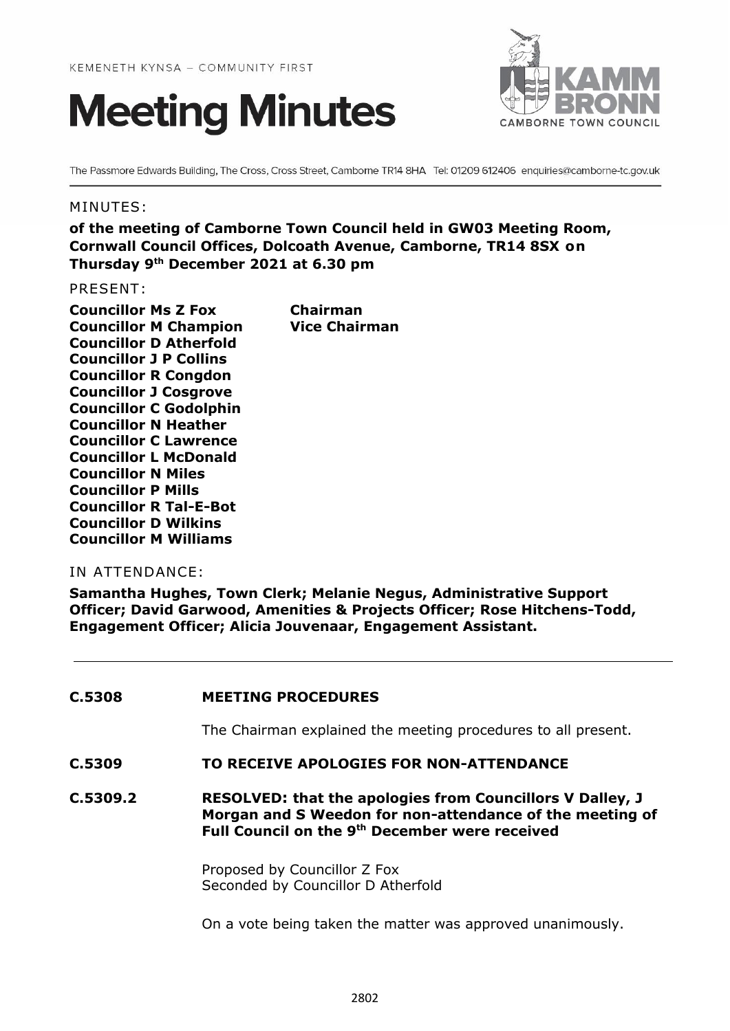



The Passmore Edwards Building, The Cross, Cross Street, Camborne TR14 8HA Tel: 01209 612406 enquiries@camborne-tc.gov.uk

#### MINUTES:

**of the meeting of Camborne Town Council held in GW03 Meeting Room, Cornwall Council Offices, Dolcoath Avenue, Camborne, TR14 8SX on Thursday 9 th December 2021 at 6.30 pm**

PRESENT:

**Councillor Ms Z Fox Chairman Councillor M Champion Vice Chairman Councillor D Atherfold Councillor J P Collins Councillor R Congdon Councillor J Cosgrove Councillor C Godolphin Councillor N Heather Councillor C Lawrence Councillor L McDonald Councillor N Miles Councillor P Mills Councillor R Tal-E-Bot Councillor D Wilkins Councillor M Williams**

### IN ATTENDANCE:

**Samantha Hughes, Town Clerk; Melanie Negus, Administrative Support Officer; David Garwood, Amenities & Projects Officer; Rose Hitchens-Todd, Engagement Officer; Alicia Jouvenaar, Engagement Assistant.**

#### **C.5308 MEETING PROCEDURES**

The Chairman explained the meeting procedures to all present.

#### **C.5309 TO RECEIVE APOLOGIES FOR NON-ATTENDANCE**

**C.5309.2 RESOLVED: that the apologies from Councillors V Dalley, J Morgan and S Weedon for non-attendance of the meeting of Full Council on the 9th December were received**

> Proposed by Councillor Z Fox Seconded by Councillor D Atherfold

On a vote being taken the matter was approved unanimously.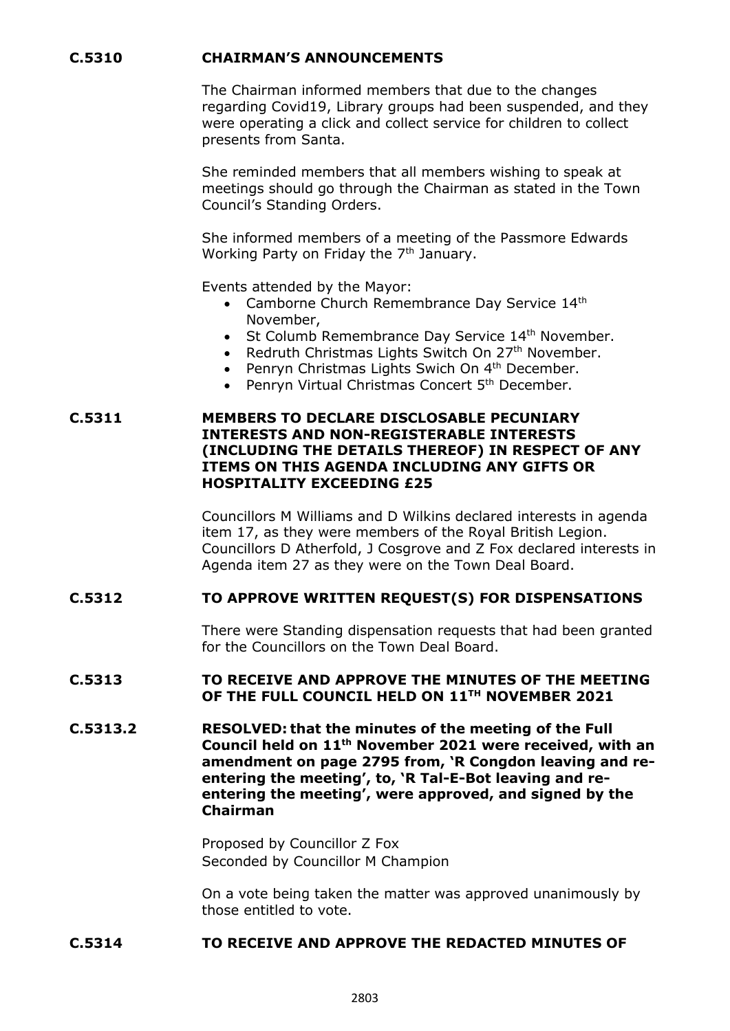# **C.5310 CHAIRMAN'S ANNOUNCEMENTS**

The Chairman informed members that due to the changes regarding Covid19, Library groups had been suspended, and they were operating a click and collect service for children to collect presents from Santa.

She reminded members that all members wishing to speak at meetings should go through the Chairman as stated in the Town Council's Standing Orders.

She informed members of a meeting of the Passmore Edwards Working Party on Friday the 7<sup>th</sup> January.

Events attended by the Mayor:

- Camborne Church Remembrance Day Service 14th November,
- St Columb Remembrance Day Service 14<sup>th</sup> November.
- Redruth Christmas Lights Switch On 27<sup>th</sup> November.
- Penryn Christmas Lights Swich On 4<sup>th</sup> December.
- Penryn Virtual Christmas Concert 5<sup>th</sup> December.

#### **C.5311 MEMBERS TO DECLARE DISCLOSABLE PECUNIARY INTERESTS AND NON-REGISTERABLE INTERESTS (INCLUDING THE DETAILS THEREOF) IN RESPECT OF ANY ITEMS ON THIS AGENDA INCLUDING ANY GIFTS OR HOSPITALITY EXCEEDING £25**

Councillors M Williams and D Wilkins declared interests in agenda item 17, as they were members of the Royal British Legion. Councillors D Atherfold, J Cosgrove and Z Fox declared interests in Agenda item 27 as they were on the Town Deal Board.

#### **C.5312 TO APPROVE WRITTEN REQUEST(S) FOR DISPENSATIONS**

There were Standing dispensation requests that had been granted for the Councillors on the Town Deal Board.

### **C.5313 TO RECEIVE AND APPROVE THE MINUTES OF THE MEETING OF THE FULL COUNCIL HELD ON 11TH NOVEMBER 2021**

**C.5313.2 RESOLVED: that the minutes of the meeting of the Full Council held on 11th November 2021 were received, with an amendment on page 2795 from, 'R Congdon leaving and reentering the meeting', to, 'R Tal-E-Bot leaving and reentering the meeting', were approved, and signed by the Chairman**

> Proposed by Councillor Z Fox Seconded by Councillor M Champion

On a vote being taken the matter was approved unanimously by those entitled to vote.

#### **C.5314 TO RECEIVE AND APPROVE THE REDACTED MINUTES OF**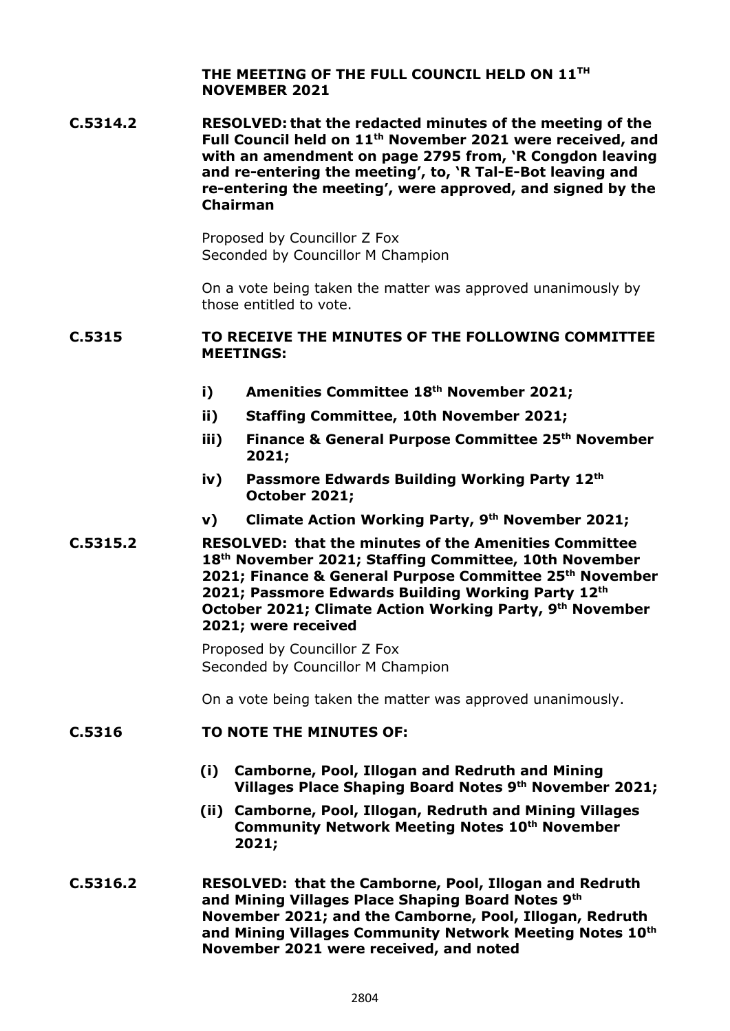**THE MEETING OF THE FULL COUNCIL HELD ON 11TH NOVEMBER 2021**

**C.5314.2 RESOLVED: that the redacted minutes of the meeting of the Full Council held on 11th November 2021 were received, and with an amendment on page 2795 from, 'R Congdon leaving and re-entering the meeting', to, 'R Tal-E-Bot leaving and re-entering the meeting', were approved, and signed by the Chairman**

> Proposed by Councillor Z Fox Seconded by Councillor M Champion

On a vote being taken the matter was approved unanimously by those entitled to vote.

#### **C.5315 TO RECEIVE THE MINUTES OF THE FOLLOWING COMMITTEE MEETINGS:**

- **i) Amenities Committee 18th November 2021;**
- **ii) Staffing Committee, 10th November 2021;**
- **iii) Finance & General Purpose Committee 25 th November 2021;**
- **iv) Passmore Edwards Building Working Party 12th October 2021;**
- **v) Climate Action Working Party, 9 th November 2021;**
- **C.5315.2 RESOLVED: that the minutes of the Amenities Committee 18th November 2021; Staffing Committee, 10th November 2021; Finance & General Purpose Committee 25th November 2021; Passmore Edwards Building Working Party 12th October 2021; Climate Action Working Party, 9 th November 2021; were received**

Proposed by Councillor Z Fox Seconded by Councillor M Champion

On a vote being taken the matter was approved unanimously.

#### **C.5316 TO NOTE THE MINUTES OF:**

- **(i) Camborne, Pool, Illogan and Redruth and Mining Villages Place Shaping Board Notes 9th November 2021;**
- **(ii) Camborne, Pool, Illogan, Redruth and Mining Villages Community Network Meeting Notes 10th November 2021;**
- **C.5316.2 RESOLVED: that the Camborne, Pool, Illogan and Redruth and Mining Villages Place Shaping Board Notes 9th November 2021; and the Camborne, Pool, Illogan, Redruth and Mining Villages Community Network Meeting Notes 10th November 2021 were received, and noted**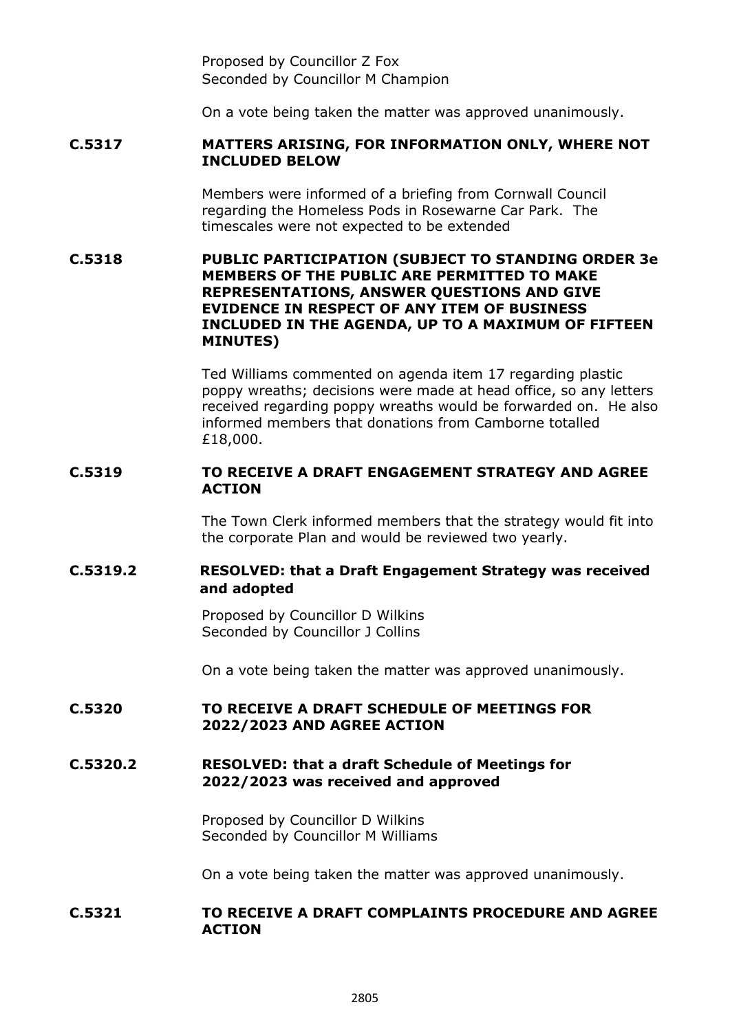Proposed by Councillor Z Fox Seconded by Councillor M Champion

On a vote being taken the matter was approved unanimously.

### **C.5317 MATTERS ARISING, FOR INFORMATION ONLY, WHERE NOT INCLUDED BELOW**

Members were informed of a briefing from Cornwall Council regarding the Homeless Pods in Rosewarne Car Park. The timescales were not expected to be extended

## **C.5318 PUBLIC PARTICIPATION (SUBJECT TO STANDING ORDER 3e MEMBERS OF THE PUBLIC ARE PERMITTED TO MAKE REPRESENTATIONS, ANSWER QUESTIONS AND GIVE EVIDENCE IN RESPECT OF ANY ITEM OF BUSINESS INCLUDED IN THE AGENDA, UP TO A MAXIMUM OF FIFTEEN MINUTES)**

Ted Williams commented on agenda item 17 regarding plastic poppy wreaths; decisions were made at head office, so any letters received regarding poppy wreaths would be forwarded on. He also informed members that donations from Camborne totalled £18,000.

# **C.5319 TO RECEIVE A DRAFT ENGAGEMENT STRATEGY AND AGREE ACTION**

The Town Clerk informed members that the strategy would fit into the corporate Plan and would be reviewed two yearly.

# **C.5319.2 RESOLVED: that a Draft Engagement Strategy was received and adopted**

Proposed by Councillor D Wilkins Seconded by Councillor J Collins

On a vote being taken the matter was approved unanimously.

#### **C.5320 TO RECEIVE A DRAFT SCHEDULE OF MEETINGS FOR 2022/2023 AND AGREE ACTION**

#### **C.5320.2 RESOLVED: that a draft Schedule of Meetings for 2022/2023 was received and approved**

Proposed by Councillor D Wilkins Seconded by Councillor M Williams

On a vote being taken the matter was approved unanimously.

#### **C.5321 TO RECEIVE A DRAFT COMPLAINTS PROCEDURE AND AGREE ACTION**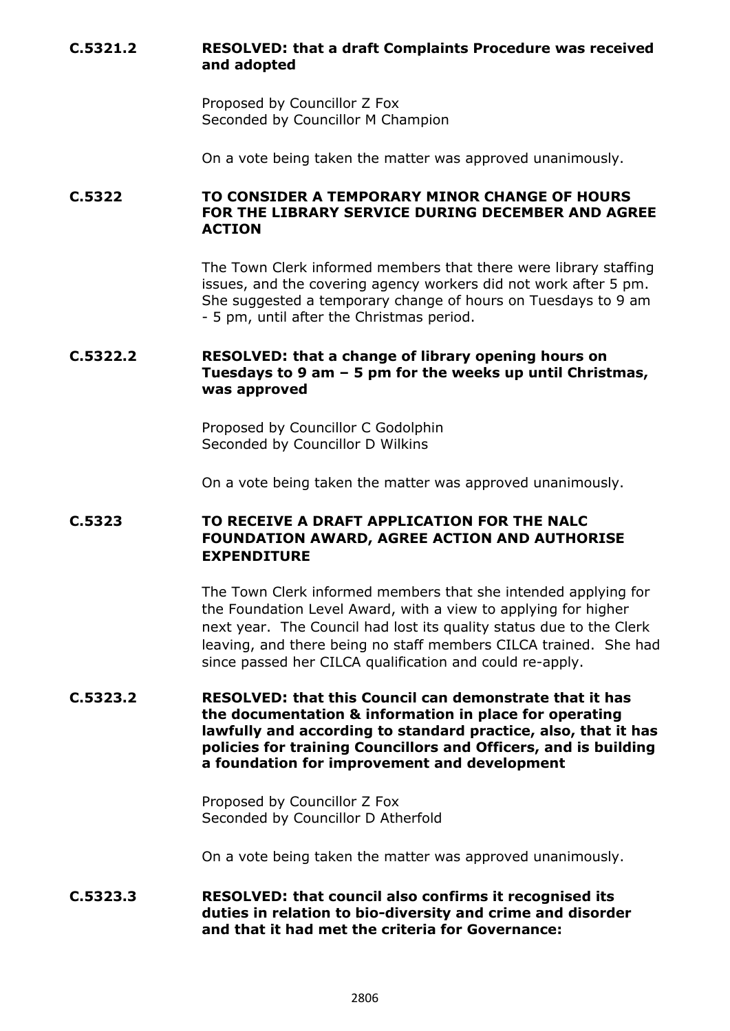# **C.5321.2 RESOLVED: that a draft Complaints Procedure was received and adopted**

Proposed by Councillor Z Fox Seconded by Councillor M Champion

On a vote being taken the matter was approved unanimously.

# **C.5322 TO CONSIDER A TEMPORARY MINOR CHANGE OF HOURS FOR THE LIBRARY SERVICE DURING DECEMBER AND AGREE ACTION**

The Town Clerk informed members that there were library staffing issues, and the covering agency workers did not work after 5 pm. She suggested a temporary change of hours on Tuesdays to 9 am - 5 pm, until after the Christmas period.

# **C.5322.2 RESOLVED: that a change of library opening hours on Tuesdays to 9 am – 5 pm for the weeks up until Christmas, was approved**

Proposed by Councillor C Godolphin Seconded by Councillor D Wilkins

On a vote being taken the matter was approved unanimously.

# **C.5323 TO RECEIVE A DRAFT APPLICATION FOR THE NALC FOUNDATION AWARD, AGREE ACTION AND AUTHORISE EXPENDITURE**

The Town Clerk informed members that she intended applying for the Foundation Level Award, with a view to applying for higher next year. The Council had lost its quality status due to the Clerk leaving, and there being no staff members CILCA trained. She had since passed her CILCA qualification and could re-apply.

## **C.5323.2 RESOLVED: that this Council can demonstrate that it has the documentation & information in place for operating lawfully and according to standard practice, also, that it has policies for training Councillors and Officers, and is building a foundation for improvement and development**

Proposed by Councillor Z Fox Seconded by Councillor D Atherfold

On a vote being taken the matter was approved unanimously.

# **C.5323.3 RESOLVED: that council also confirms it recognised its duties in relation to bio-diversity and crime and disorder and that it had met the criteria for Governance:**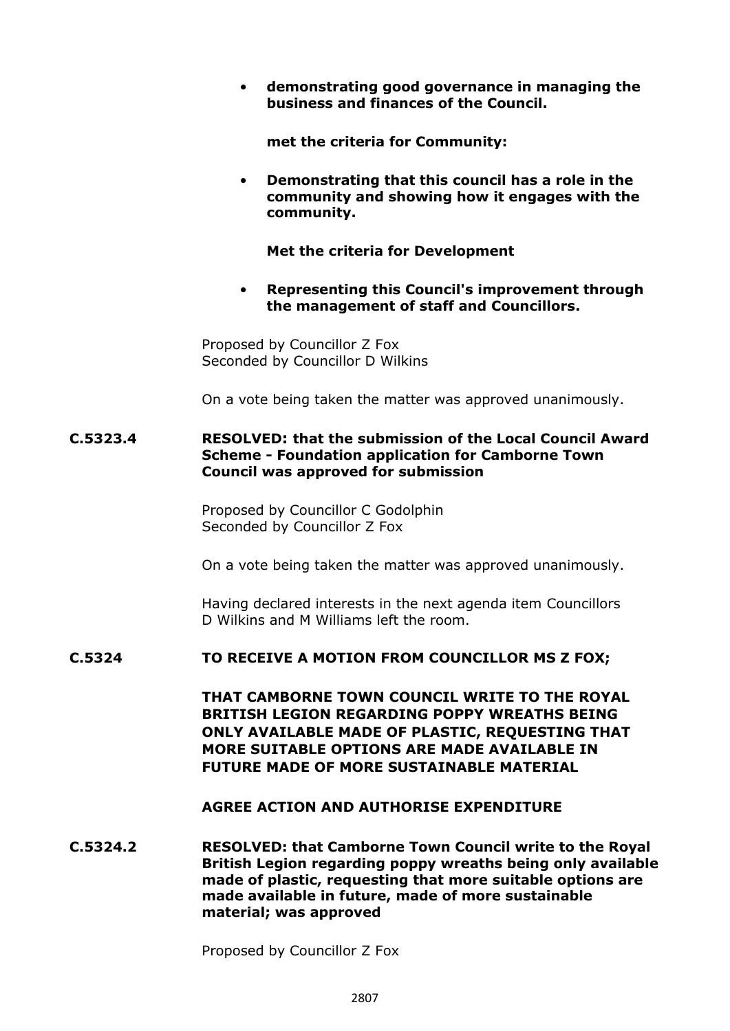• **demonstrating good governance in managing the business and finances of the Council.**

**met the criteria for Community:**

• **Demonstrating that this council has a role in the community and showing how it engages with the community.**

**Met the criteria for Development**

• **Representing this Council's improvement through the management of staff and Councillors.**

Proposed by Councillor Z Fox Seconded by Councillor D Wilkins

On a vote being taken the matter was approved unanimously.

### **C.5323.4 RESOLVED: that the submission of the Local Council Award Scheme - Foundation application for Camborne Town Council was approved for submission**

Proposed by Councillor C Godolphin Seconded by Councillor Z Fox

On a vote being taken the matter was approved unanimously.

Having declared interests in the next agenda item Councillors D Wilkins and M Williams left the room.

# **C.5324 TO RECEIVE A MOTION FROM COUNCILLOR MS Z FOX;**

**THAT CAMBORNE TOWN COUNCIL WRITE TO THE ROYAL BRITISH LEGION REGARDING POPPY WREATHS BEING ONLY AVAILABLE MADE OF PLASTIC, REQUESTING THAT MORE SUITABLE OPTIONS ARE MADE AVAILABLE IN FUTURE MADE OF MORE SUSTAINABLE MATERIAL**

#### **AGREE ACTION AND AUTHORISE EXPENDITURE**

**C.5324.2 RESOLVED: that Camborne Town Council write to the Royal British Legion regarding poppy wreaths being only available made of plastic, requesting that more suitable options are made available in future, made of more sustainable material; was approved**

Proposed by Councillor Z Fox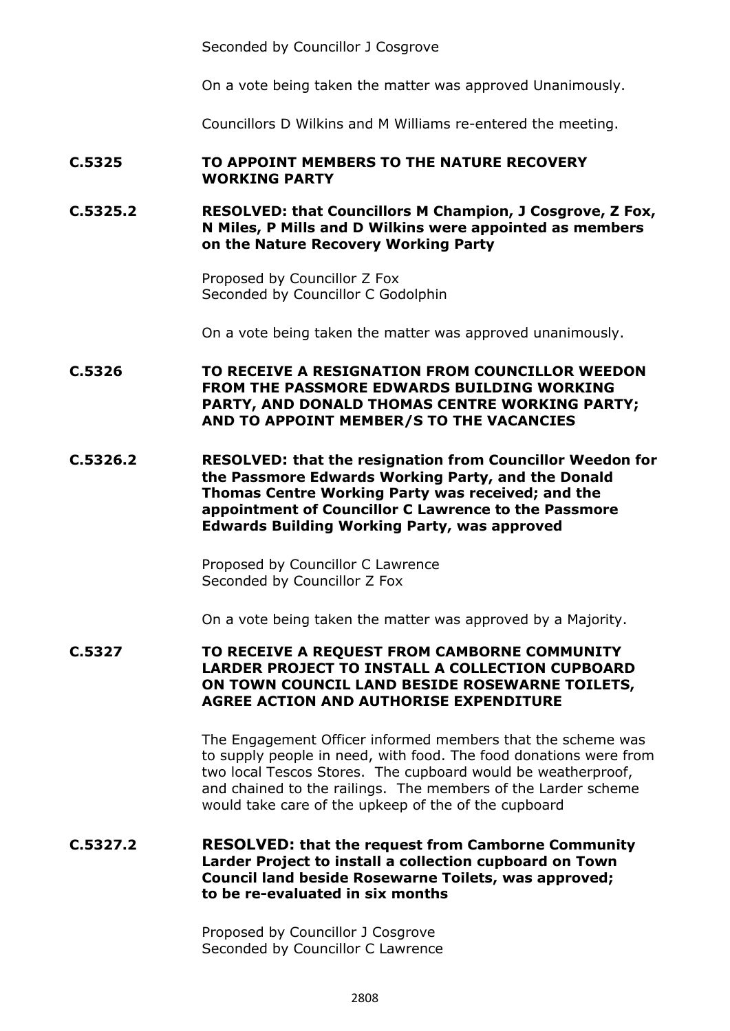Seconded by Councillor J Cosgrove

On a vote being taken the matter was approved Unanimously.

Councillors D Wilkins and M Williams re-entered the meeting.

#### **C.5325 TO APPOINT MEMBERS TO THE NATURE RECOVERY WORKING PARTY**

**C.5325.2 RESOLVED: that Councillors M Champion, J Cosgrove, Z Fox, N Miles, P Mills and D Wilkins were appointed as members on the Nature Recovery Working Party**

> Proposed by Councillor Z Fox Seconded by Councillor C Godolphin

On a vote being taken the matter was approved unanimously.

**C.5326 TO RECEIVE A RESIGNATION FROM COUNCILLOR WEEDON FROM THE PASSMORE EDWARDS BUILDING WORKING PARTY, AND DONALD THOMAS CENTRE WORKING PARTY; AND TO APPOINT MEMBER/S TO THE VACANCIES**

**C.5326.2 RESOLVED: that the resignation from Councillor Weedon for the Passmore Edwards Working Party, and the Donald Thomas Centre Working Party was received; and the appointment of Councillor C Lawrence to the Passmore Edwards Building Working Party, was approved**

> Proposed by Councillor C Lawrence Seconded by Councillor Z Fox

On a vote being taken the matter was approved by a Majority.

**C.5327 TO RECEIVE A REQUEST FROM CAMBORNE COMMUNITY LARDER PROJECT TO INSTALL A COLLECTION CUPBOARD ON TOWN COUNCIL LAND BESIDE ROSEWARNE TOILETS, AGREE ACTION AND AUTHORISE EXPENDITURE**

> The Engagement Officer informed members that the scheme was to supply people in need, with food. The food donations were from two local Tescos Stores. The cupboard would be weatherproof, and chained to the railings. The members of the Larder scheme would take care of the upkeep of the of the cupboard

**C.5327.2 RESOLVED: that the request from Camborne Community Larder Project to install a collection cupboard on Town Council land beside Rosewarne Toilets, was approved; to be re-evaluated in six months**

> Proposed by Councillor J Cosgrove Seconded by Councillor C Lawrence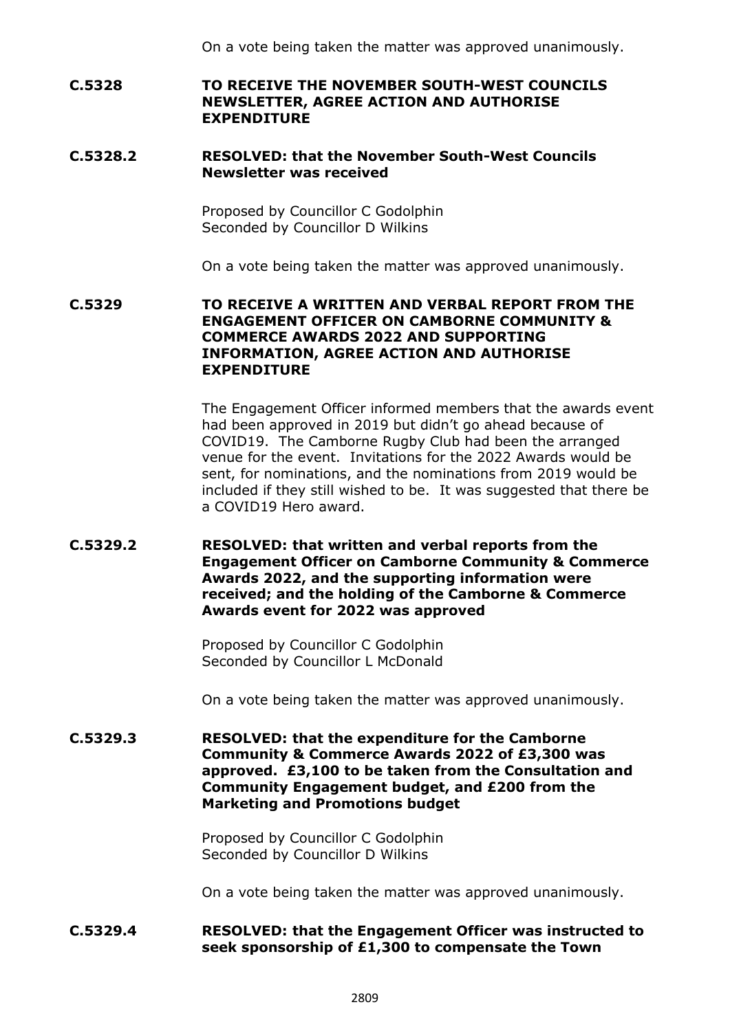On a vote being taken the matter was approved unanimously.

### **C.5328 TO RECEIVE THE NOVEMBER SOUTH-WEST COUNCILS NEWSLETTER, AGREE ACTION AND AUTHORISE EXPENDITURE**

#### **C.5328.2 RESOLVED: that the November South-West Councils Newsletter was received**

Proposed by Councillor C Godolphin Seconded by Councillor D Wilkins

On a vote being taken the matter was approved unanimously.

**C.5329 TO RECEIVE A WRITTEN AND VERBAL REPORT FROM THE ENGAGEMENT OFFICER ON CAMBORNE COMMUNITY & COMMERCE AWARDS 2022 AND SUPPORTING INFORMATION, AGREE ACTION AND AUTHORISE EXPENDITURE**

> The Engagement Officer informed members that the awards event had been approved in 2019 but didn't go ahead because of COVID19. The Camborne Rugby Club had been the arranged venue for the event. Invitations for the 2022 Awards would be sent, for nominations, and the nominations from 2019 would be included if they still wished to be. It was suggested that there be a COVID19 Hero award.

**C.5329.2 RESOLVED: that written and verbal reports from the Engagement Officer on Camborne Community & Commerce Awards 2022, and the supporting information were received; and the holding of the Camborne & Commerce Awards event for 2022 was approved**

> Proposed by Councillor C Godolphin Seconded by Councillor L McDonald

On a vote being taken the matter was approved unanimously.

**C.5329.3 RESOLVED: that the expenditure for the Camborne Community & Commerce Awards 2022 of £3,300 was approved. £3,100 to be taken from the Consultation and Community Engagement budget, and £200 from the Marketing and Promotions budget**

> Proposed by Councillor C Godolphin Seconded by Councillor D Wilkins

On a vote being taken the matter was approved unanimously.

#### **C.5329.4 RESOLVED: that the Engagement Officer was instructed to seek sponsorship of £1,300 to compensate the Town**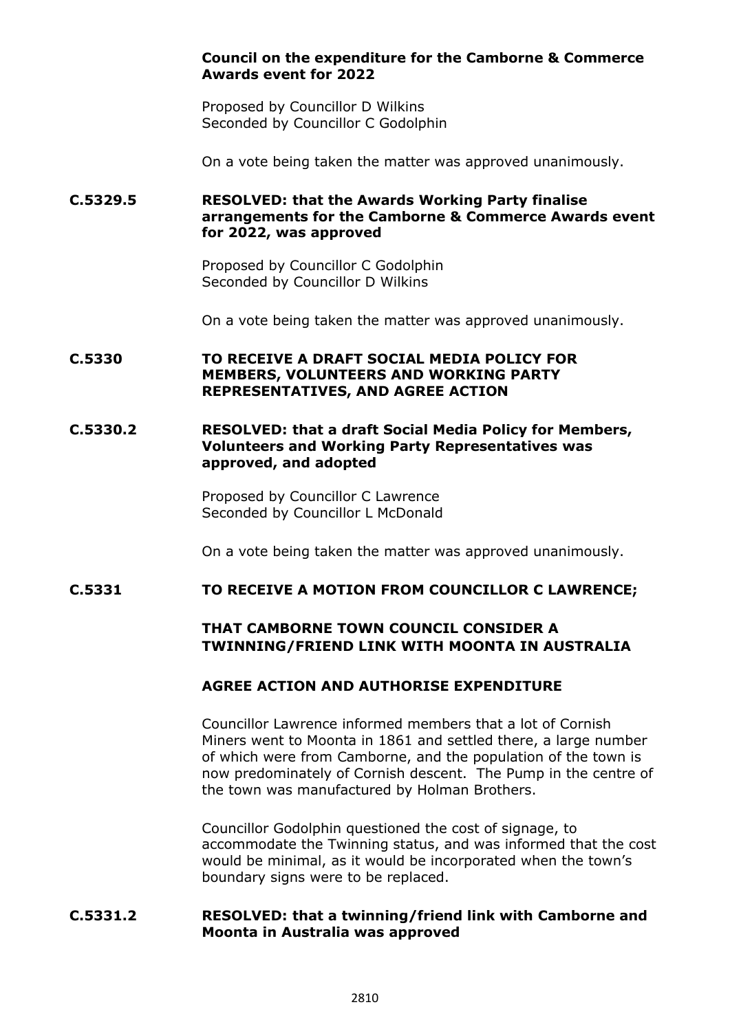## **Council on the expenditure for the Camborne & Commerce Awards event for 2022**

Proposed by Councillor D Wilkins Seconded by Councillor C Godolphin

On a vote being taken the matter was approved unanimously.

# **C.5329.5 RESOLVED: that the Awards Working Party finalise arrangements for the Camborne & Commerce Awards event for 2022, was approved**

Proposed by Councillor C Godolphin Seconded by Councillor D Wilkins

On a vote being taken the matter was approved unanimously.

# **C.5330 TO RECEIVE A DRAFT SOCIAL MEDIA POLICY FOR MEMBERS, VOLUNTEERS AND WORKING PARTY REPRESENTATIVES, AND AGREE ACTION**

#### **C.5330.2 RESOLVED: that a draft Social Media Policy for Members, Volunteers and Working Party Representatives was approved, and adopted**

Proposed by Councillor C Lawrence Seconded by Councillor L McDonald

On a vote being taken the matter was approved unanimously.

#### **C.5331 TO RECEIVE A MOTION FROM COUNCILLOR C LAWRENCE;**

# **THAT CAMBORNE TOWN COUNCIL CONSIDER A TWINNING/FRIEND LINK WITH MOONTA IN AUSTRALIA**

# **AGREE ACTION AND AUTHORISE EXPENDITURE**

Councillor Lawrence informed members that a lot of Cornish Miners went to Moonta in 1861 and settled there, a large number of which were from Camborne, and the population of the town is now predominately of Cornish descent. The Pump in the centre of the town was manufactured by Holman Brothers.

Councillor Godolphin questioned the cost of signage, to accommodate the Twinning status, and was informed that the cost would be minimal, as it would be incorporated when the town's boundary signs were to be replaced.

# **C.5331.2 RESOLVED: that a twinning/friend link with Camborne and Moonta in Australia was approved**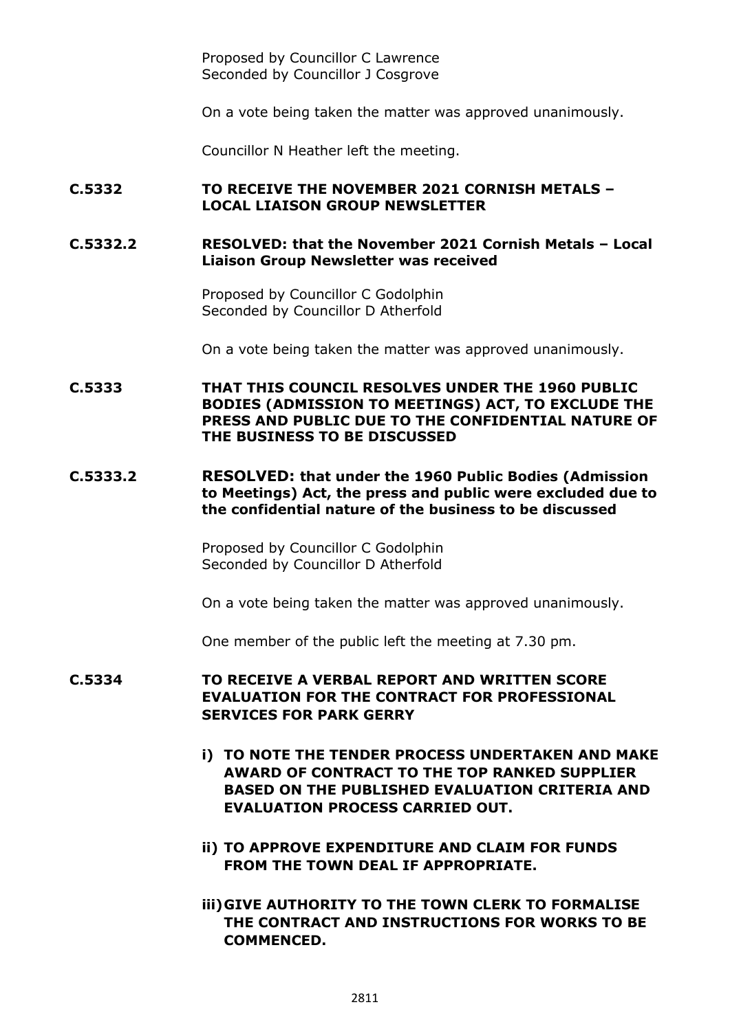Proposed by Councillor C Lawrence Seconded by Councillor J Cosgrove

On a vote being taken the matter was approved unanimously.

Councillor N Heather left the meeting.

## **C.5332 TO RECEIVE THE NOVEMBER 2021 CORNISH METALS – LOCAL LIAISON GROUP NEWSLETTER**

#### **C.5332.2 RESOLVED: that the November 2021 Cornish Metals – Local Liaison Group Newsletter was received**

Proposed by Councillor C Godolphin Seconded by Councillor D Atherfold

On a vote being taken the matter was approved unanimously.

**C.5333 THAT THIS COUNCIL RESOLVES UNDER THE 1960 PUBLIC BODIES (ADMISSION TO MEETINGS) ACT, TO EXCLUDE THE PRESS AND PUBLIC DUE TO THE CONFIDENTIAL NATURE OF THE BUSINESS TO BE DISCUSSED**

### **C.5333.2 RESOLVED: that under the 1960 Public Bodies (Admission to Meetings) Act, the press and public were excluded due to the confidential nature of the business to be discussed**

Proposed by Councillor C Godolphin Seconded by Councillor D Atherfold

On a vote being taken the matter was approved unanimously.

One member of the public left the meeting at 7.30 pm.

# **C.5334 TO RECEIVE A VERBAL REPORT AND WRITTEN SCORE EVALUATION FOR THE CONTRACT FOR PROFESSIONAL SERVICES FOR PARK GERRY**

- **i) TO NOTE THE TENDER PROCESS UNDERTAKEN AND MAKE AWARD OF CONTRACT TO THE TOP RANKED SUPPLIER BASED ON THE PUBLISHED EVALUATION CRITERIA AND EVALUATION PROCESS CARRIED OUT.**
- **ii) TO APPROVE EXPENDITURE AND CLAIM FOR FUNDS FROM THE TOWN DEAL IF APPROPRIATE.**
- **iii)GIVE AUTHORITY TO THE TOWN CLERK TO FORMALISE THE CONTRACT AND INSTRUCTIONS FOR WORKS TO BE COMMENCED.**